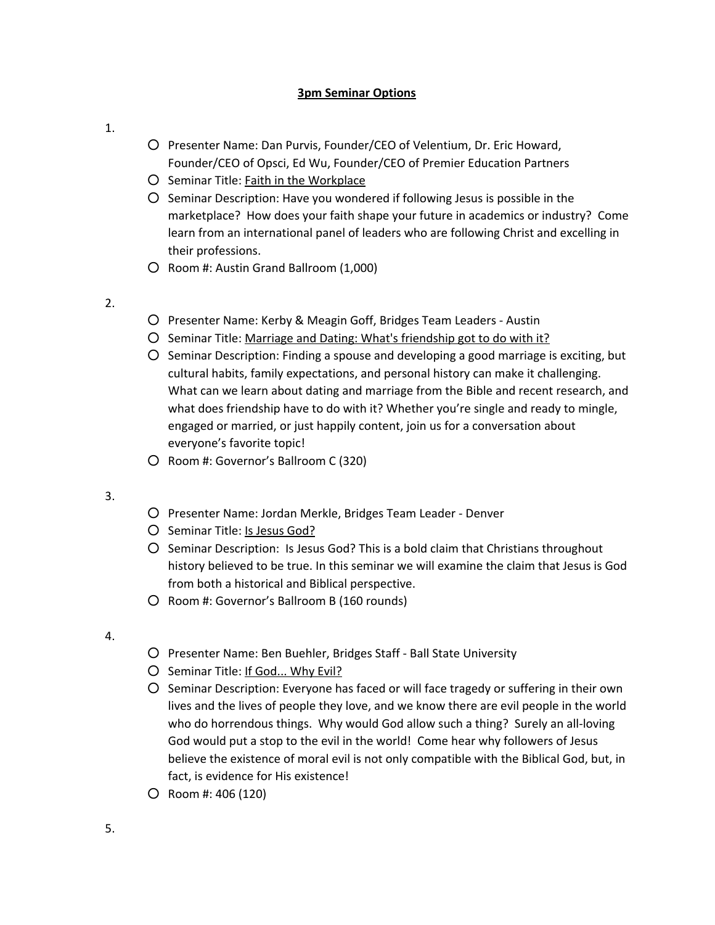## **3pm Seminar Options**

- 1.
- Presenter Name: Dan Purvis, Founder/CEO of Velentium, Dr. Eric Howard, Founder/CEO of Opsci, Ed Wu, Founder/CEO of Premier Education Partners
- Seminar Title: Faith in the Workplace
- Seminar Description: Have you wondered if following Jesus is possible in the marketplace? How does your faith shape your future in academics or industry? Come learn from an international panel of leaders who are following Christ and excelling in their professions.
- Room #: Austin Grand Ballroom (1,000)
- 2.
- Presenter Name: Kerby & Meagin Goff, Bridges Team Leaders Austin
- Seminar Title: Marriage and Dating: What's friendship got to do with it?
- Seminar Description: Finding a spouse and developing a good marriage is exciting, but cultural habits, family expectations, and personal history can make it challenging. What can we learn about dating and marriage from the Bible and recent research, and what does friendship have to do with it? Whether you're single and ready to mingle, engaged or married, or just happily content, join us for a conversation about everyone's favorite topic!
- Room #: Governor's Ballroom C (320)
- 3.
- Presenter Name: Jordan Merkle, Bridges Team Leader Denver
- Seminar Title: Is Jesus God?
- Seminar Description: Is Jesus God? This is a bold claim that Christians throughout history believed to be true. In this seminar we will examine the claim that Jesus is God from both a historical and Biblical perspective.
- Room #: Governor's Ballroom B (160 rounds)
- 4.
- Presenter Name: Ben Buehler, Bridges Staff Ball State University
- Seminar Title: If God... Why Evil?
- Seminar Description: Everyone has faced or will face tragedy or suffering in their own lives and the lives of people they love, and we know there are evil people in the world who do horrendous things. Why would God allow such a thing? Surely an all-loving God would put a stop to the evil in the world! Come hear why followers of Jesus believe the existence of moral evil is not only compatible with the Biblical God, but, in fact, is evidence for His existence!
- Room #: 406 (120)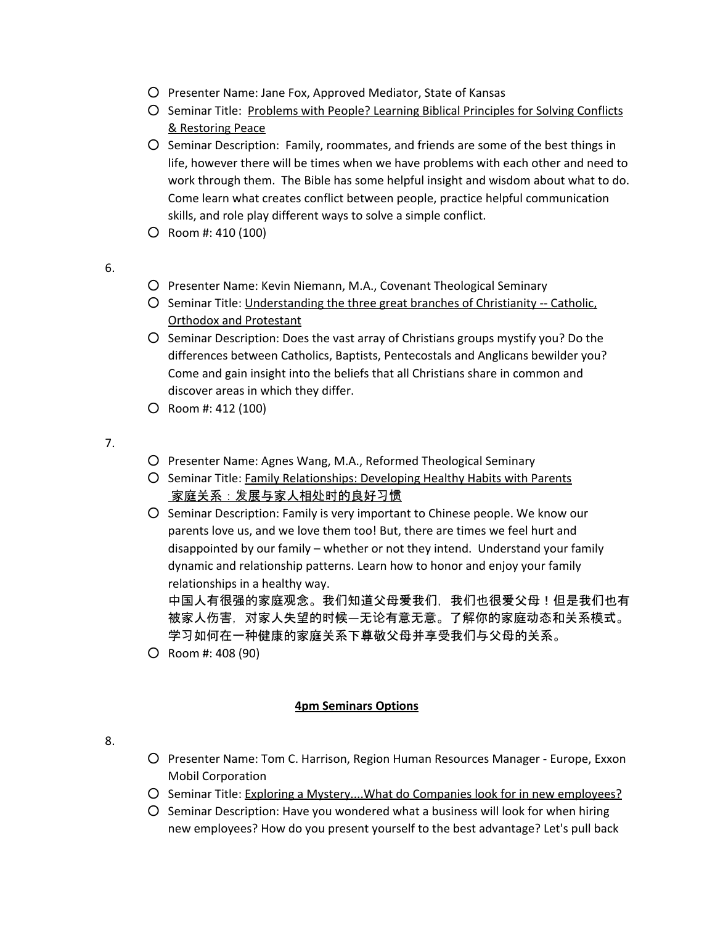- Presenter Name: Jane Fox, Approved Mediator, State of Kansas
- Seminar Title: Problems with People? Learning Biblical Principles for Solving Conflicts & Restoring Peace
- Seminar Description: Family, roommates, and friends are some of the best things in life, however there will be times when we have problems with each other and need to work through them. The Bible has some helpful insight and wisdom about what to do. Come learn what creates conflict between people, practice helpful communication skills, and role play different ways to solve a simple conflict.
- Room #: 410 (100)

6.

- Presenter Name: Kevin Niemann, M.A., Covenant Theological Seminary
- Seminar Title: Understanding the three great branches of Christianity -- Catholic, Orthodox and Protestant
- Seminar Description: Does the vast array of Christians groups mystify you? Do the differences between Catholics, Baptists, Pentecostals and Anglicans bewilder you? Come and gain insight into the beliefs that all Christians share in common and discover areas in which they differ.
- Room #: 412 (100)

7.

- Presenter Name: Agnes Wang, M.A., Reformed Theological Seminary
- Seminar Title: Family Relationships: Developing Healthy Habits with Parents 家庭关系:发展与家人相处时的良好习惯
- Seminar Description: Family is very important to Chinese people. We know our parents love us, and we love them too! But, there are times we feel hurt and disappointed by our family – whether or not they intend. Understand your family dynamic and relationship patterns. Learn how to honor and enjoy your family relationships in a healthy way.

中国人有很强的家庭观念。我们知道父母爱我们, 我们也很爱父母!但是我们也有 被家人伤害,对家人失望的时候—无论有意无意。了解你的家庭动态和关系模式。 学习如何在一种健康的家庭关系下尊敬父母并享受我们与父母的关系。

○ Room #: 408 (90)

# **4pm Seminars Options**

- 8.
- Presenter Name: Tom C. Harrison, Region Human Resources Manager Europe, Exxon Mobil Corporation
- Seminar Title: Exploring a Mystery....What do Companies look for in new employees?
- Seminar Description: Have you wondered what a business will look for when hiring new employees? How do you present yourself to the best advantage? Let's pull back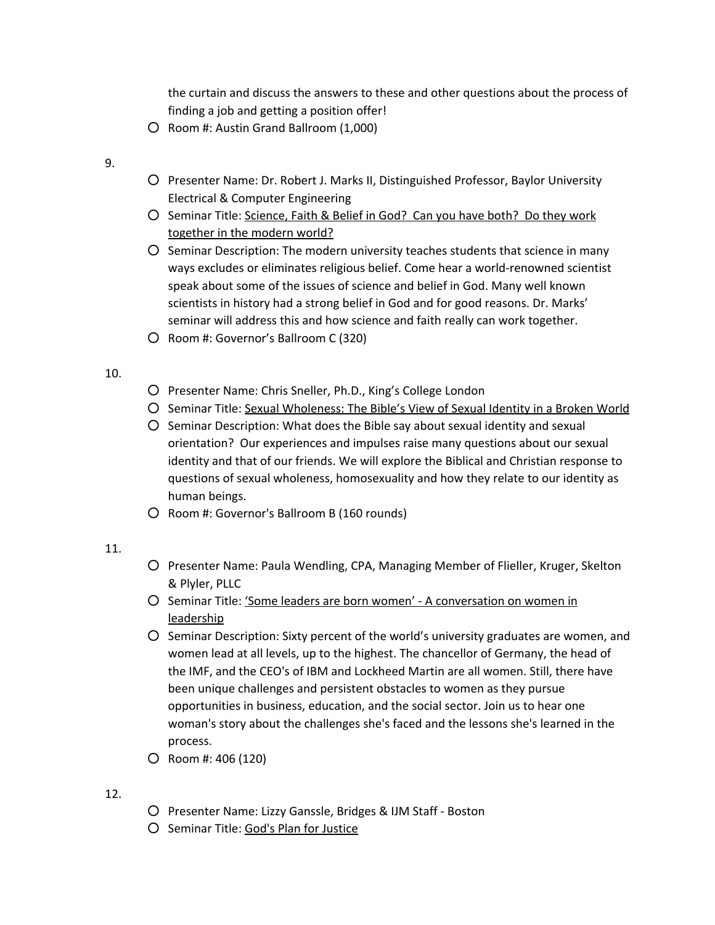the curtain and discuss the answers to these and other questions about the process of finding a job and getting a position offer!

- Room #: Austin Grand Ballroom (1,000)
- 9.
- Presenter Name: Dr. Robert J. Marks II, Distinguished Professor, Baylor University Electrical & Computer Engineering
- Seminar Title: Science, Faith & Belief in God? Can you have both? Do they work together in the modern world?
- Seminar Description: The modern university teaches students that science in many ways excludes or eliminates religious belief. Come hear a world-renowned scientist speak about some of the issues of science and belief in God. Many well known scientists in history had a strong belief in God and for good reasons. Dr. Marks' seminar will address this and how science and faith really can work together.
- Room #: Governor's Ballroom C (320)

## 10.

- Presenter Name: Chris Sneller, Ph.D., King's College London
- Seminar Title: Sexual Wholeness: The Bible's View of Sexual Identity in a Broken World
- Seminar Description: What does the Bible say about sexual identity and sexual orientation? Our experiences and impulses raise many questions about our sexual identity and that of our friends. We will explore the Biblical and Christian response to questions of sexual wholeness, homosexuality and how they relate to our identity as human beings.
- Room #: Governor's Ballroom B (160 rounds)
- 11.
- Presenter Name: Paula Wendling, CPA, Managing Member of Flieller, Kruger, Skelton & Plyler, PLLC
- O Seminar Title: 'Some leaders are born women' A conversation on women in leadership
- Seminar Description: Sixty percent of the world's university graduates are women, and women lead at all levels, up to the highest. The chancellor of Germany, the head of the IMF, and the CEO's of IBM and Lockheed Martin are all women. Still, there have been unique challenges and persistent obstacles to women as they pursue opportunities in business, education, and the social sector. Join us to hear one woman's story about the challenges she's faced and the lessons she's learned in the process.
- Room #: 406 (120)
- 12.
- Presenter Name: Lizzy Ganssle, Bridges & IJM Staff Boston
- Seminar Title: God's Plan for Justice